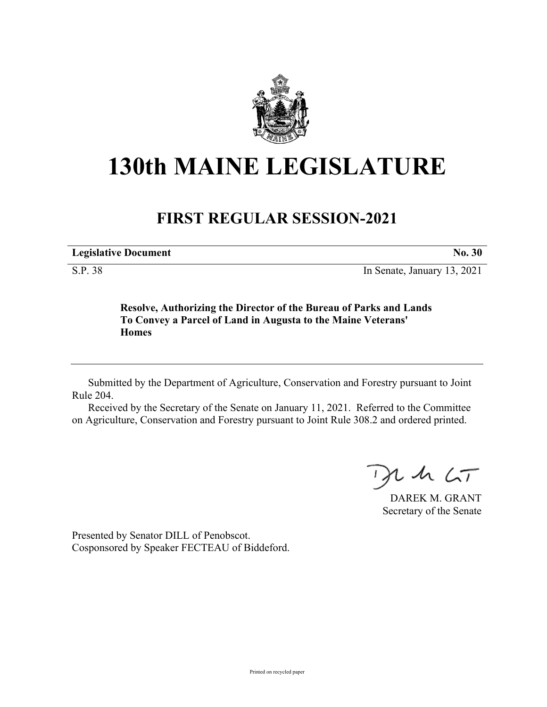

## **130th MAINE LEGISLATURE**

## **FIRST REGULAR SESSION-2021**

**Legislative Document No. 30**

S.P. 38 In Senate, January 13, 2021

**Resolve, Authorizing the Director of the Bureau of Parks and Lands To Convey a Parcel of Land in Augusta to the Maine Veterans' Homes**

Submitted by the Department of Agriculture, Conservation and Forestry pursuant to Joint Rule 204.

Received by the Secretary of the Senate on January 11, 2021. Referred to the Committee on Agriculture, Conservation and Forestry pursuant to Joint Rule 308.2 and ordered printed.

 $125$ 

DAREK M. GRANT Secretary of the Senate

Presented by Senator DILL of Penobscot. Cosponsored by Speaker FECTEAU of Biddeford.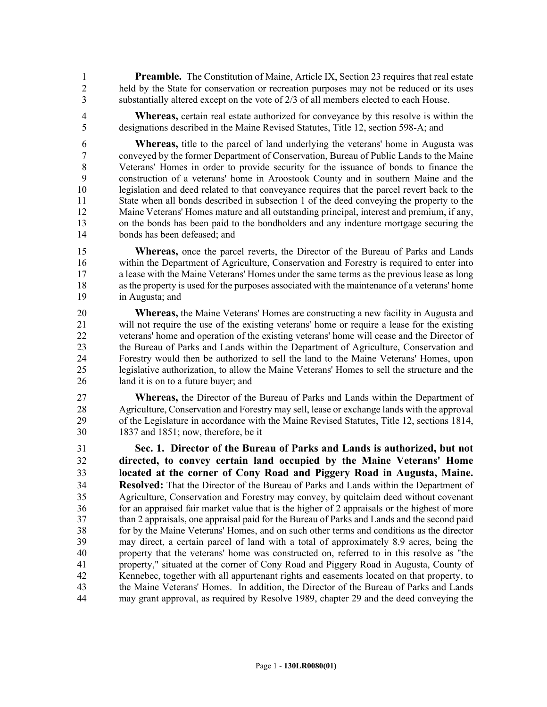1 **Preamble.** The Constitution of Maine, Article IX, Section 23 requires that real estate 2 held by the State for conservation or recreation purposes may not be reduced or its uses 3 substantially altered except on the vote of 2/3 of all members elected to each House.

4 **Whereas,** certain real estate authorized for conveyance by this resolve is within the 5 designations described in the Maine Revised Statutes, Title 12, section 598-A; and

6 **Whereas,** title to the parcel of land underlying the veterans' home in Augusta was 7 conveyed by the former Department of Conservation, Bureau of Public Lands to the Maine 8 Veterans' Homes in order to provide security for the issuance of bonds to finance the 9 construction of a veterans' home in Aroostook County and in southern Maine and the 10 legislation and deed related to that conveyance requires that the parcel revert back to the 11 State when all bonds described in subsection 1 of the deed conveying the property to the 12 Maine Veterans' Homes mature and all outstanding principal, interest and premium, if any, 13 on the bonds has been paid to the bondholders and any indenture mortgage securing the 14 bonds has been defeased; and

15 **Whereas,** once the parcel reverts, the Director of the Bureau of Parks and Lands 16 within the Department of Agriculture, Conservation and Forestry is required to enter into 17 a lease with the Maine Veterans' Homes under the same terms as the previous lease as long 18 as the property is used for the purposes associated with the maintenance of a veterans' home 19 in Augusta; and

20 **Whereas,** the Maine Veterans' Homes are constructing a new facility in Augusta and 21 will not require the use of the existing veterans' home or require a lease for the existing 22 veterans' home and operation of the existing veterans' home will cease and the Director of 23 the Bureau of Parks and Lands within the Department of Agriculture, Conservation and 24 Forestry would then be authorized to sell the land to the Maine Veterans' Homes, upon 25 legislative authorization, to allow the Maine Veterans' Homes to sell the structure and the 26 land it is on to a future buyer; and

27 **Whereas,** the Director of the Bureau of Parks and Lands within the Department of 28 Agriculture, Conservation and Forestry may sell, lease or exchange lands with the approval 29 of the Legislature in accordance with the Maine Revised Statutes, Title 12, sections 1814, 30 1837 and 1851; now, therefore, be it

31 **Sec. 1. Director of the Bureau of Parks and Lands is authorized, but not**  32 **directed, to convey certain land occupied by the Maine Veterans' Home**  33 **located at the corner of Cony Road and Piggery Road in Augusta, Maine.**  34 **Resolved:** That the Director of the Bureau of Parks and Lands within the Department of 35 Agriculture, Conservation and Forestry may convey, by quitclaim deed without covenant 36 for an appraised fair market value that is the higher of 2 appraisals or the highest of more 37 than 2 appraisals, one appraisal paid for the Bureau of Parks and Lands and the second paid 38 for by the Maine Veterans' Homes, and on such other terms and conditions as the director 39 may direct, a certain parcel of land with a total of approximately 8.9 acres, being the 40 property that the veterans' home was constructed on, referred to in this resolve as "the 41 property," situated at the corner of Cony Road and Piggery Road in Augusta, County of 42 Kennebec, together with all appurtenant rights and easements located on that property, to 43 the Maine Veterans' Homes. In addition, the Director of the Bureau of Parks and Lands 44 may grant approval, as required by Resolve 1989, chapter 29 and the deed conveying the